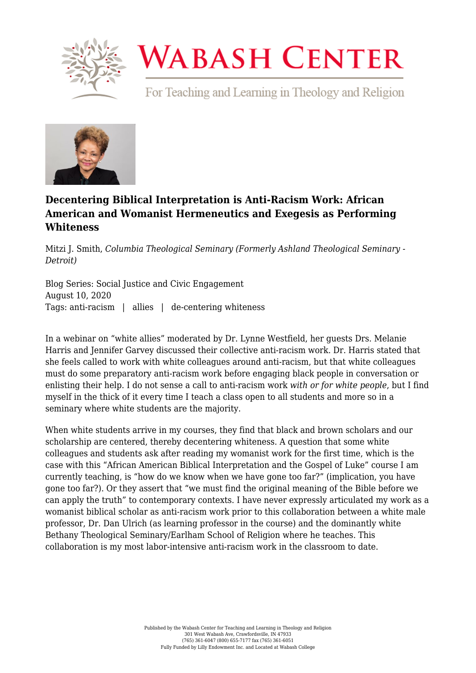

## **WABASH CENTER**

For Teaching and Learning in Theology and Religion



## **[Decentering Biblical Interpretation is Anti-Racism Work: African](https://www.wabashcenter.wabash.edu/2020/08/decentering-biblical-interpretation-is-anti-racism-work-african-american-and-womanist-hermeneutics-and-exegesis-as-performing-whiteness/) [American and Womanist Hermeneutics and Exegesis as Performing](https://www.wabashcenter.wabash.edu/2020/08/decentering-biblical-interpretation-is-anti-racism-work-african-american-and-womanist-hermeneutics-and-exegesis-as-performing-whiteness/) [Whiteness](https://www.wabashcenter.wabash.edu/2020/08/decentering-biblical-interpretation-is-anti-racism-work-african-american-and-womanist-hermeneutics-and-exegesis-as-performing-whiteness/)**

Mitzi J. Smith, *Columbia Theological Seminary (Formerly Ashland Theological Seminary - Detroit)*

Blog Series: Social Justice and Civic Engagement August 10, 2020 Tags: anti-racism | allies | de-centering whiteness

In a webinar on "white allies" moderated by Dr. Lynne Westfield, her guests Drs. Melanie Harris and Jennifer Garvey discussed their collective anti-racism work. Dr. Harris stated that she feels called to work with white colleagues around anti-racism, but that white colleagues must do some preparatory anti-racism work before engaging black people in conversation or enlisting their help. I do not sense a call to anti-racism work *with or for white people*, but I find myself in the thick of it every time I teach a class open to all students and more so in a seminary where white students are the majority.

When white students arrive in my courses, they find that black and brown scholars and our scholarship are centered, thereby decentering whiteness. A question that some white colleagues and students ask after reading my womanist work for the first time, which is the case with this "African American Biblical Interpretation and the Gospel of Luke" course I am currently teaching, is "how do we know when we have gone too far?" (implication, you have gone too far?). Or they assert that "we must find the original meaning of the Bible before we can apply the truth" to contemporary contexts. I have never expressly articulated my work as a womanist biblical scholar as anti-racism work prior to this collaboration between a white male professor, Dr. Dan Ulrich (as learning professor in the course) and the dominantly white Bethany Theological Seminary/Earlham School of Religion where he teaches. This collaboration is my most labor-intensive anti-racism work in the classroom to date.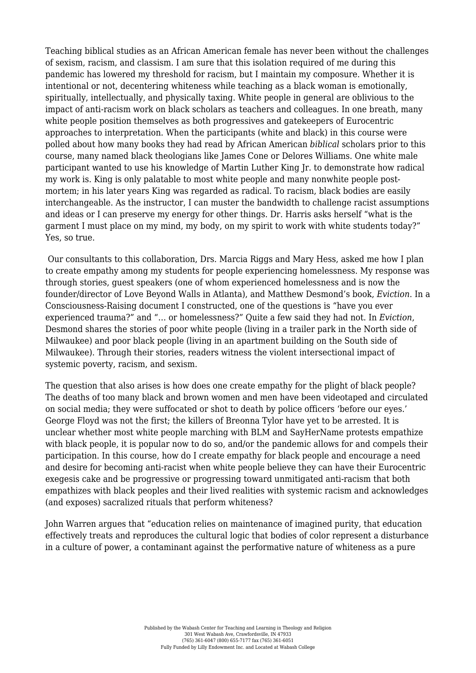Teaching biblical studies as an African American female has never been without the challenges of sexism, racism, and classism. I am sure that this isolation required of me during this pandemic has lowered my threshold for racism, but I maintain my composure. Whether it is intentional or not, decentering whiteness while teaching as a black woman is emotionally, spiritually, intellectually, and physically taxing. White people in general are oblivious to the impact of anti-racism work on black scholars as teachers and colleagues. In one breath, many white people position themselves as both progressives and gatekeepers of Eurocentric approaches to interpretation. When the participants (white and black) in this course were polled about how many books they had read by African American *biblical* scholars prior to this course, many named black theologians like James Cone or Delores Williams. One white male participant wanted to use his knowledge of Martin Luther King Jr. to demonstrate how radical my work is. King is only palatable to most white people and many nonwhite people postmortem; in his later years King was regarded as radical. To racism, black bodies are easily interchangeable. As the instructor, I can muster the bandwidth to challenge racist assumptions and ideas or I can preserve my energy for other things. Dr. Harris asks herself "what is the garment I must place on my mind, my body, on my spirit to work with white students today?" Yes, so true.

 Our consultants to this collaboration, Drs. Marcia Riggs and Mary Hess, asked me how I plan to create empathy among my students for people experiencing homelessness. My response was through stories, guest speakers (one of whom experienced homelessness and is now the founder/director of Love Beyond Walls in Atlanta), and Matthew Desmond's book, *Eviction*. In a Consciousness-Raising document I constructed, one of the questions is "have you ever experienced trauma?" and "… or homelessness?" Quite a few said they had not. In *Eviction*, Desmond shares the stories of poor white people (living in a trailer park in the North side of Milwaukee) and poor black people (living in an apartment building on the South side of Milwaukee). Through their stories, readers witness the violent intersectional impact of systemic poverty, racism, and sexism.

The question that also arises is how does one create empathy for the plight of black people? The deaths of too many black and brown women and men have been videotaped and circulated on social media; they were suffocated or shot to death by police officers 'before our eyes.' George Floyd was not the first; the killers of Breonna Tylor have yet to be arrested. It is unclear whether most white people marching with BLM and SayHerName protests empathize with black people, it is popular now to do so, and/or the pandemic allows for and compels their participation. In this course, how do I create empathy for black people and encourage a need and desire for becoming anti-racist when white people believe they can have their Eurocentric exegesis cake and be progressive or progressing toward unmitigated anti-racism that both empathizes with black peoples and their lived realities with systemic racism and acknowledges (and exposes) sacralized rituals that perform whiteness?

John Warren argues that "education relies on maintenance of imagined purity, that education effectively treats and reproduces the cultural logic that bodies of color represent a disturbance in a culture of power, a contaminant against the performative nature of whiteness as a pure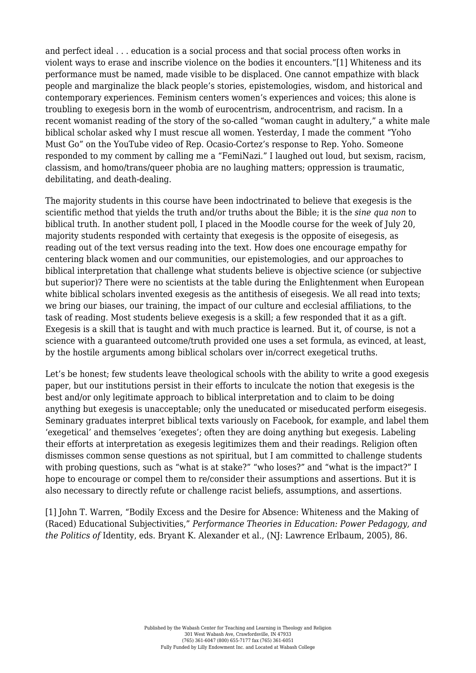<span id="page-2-1"></span>and perfect ideal . . . education is a social process and that social process often works in violent ways to erase and inscribe violence on the bodies it encounters."[\[1\]](#page-2-0) Whiteness and its performance must be named, made visible to be displaced. One cannot empathize with black people and marginalize the black people's stories, epistemologies, wisdom, and historical and contemporary experiences. Feminism centers women's experiences and voices; this alone is troubling to exegesis born in the womb of eurocentrism, androcentrism, and racism. In a recent womanist reading of the story of the so-called "woman caught in adultery," a white male biblical scholar asked why I must rescue all women. Yesterday, I made the comment "Yoho Must Go" on the YouTube video of Rep. Ocasio-Cortez's response to Rep. Yoho. Someone responded to my comment by calling me a "FemiNazi." I laughed out loud, but sexism, racism, classism, and homo/trans/queer phobia are no laughing matters; oppression is traumatic, debilitating, and death-dealing.

The majority students in this course have been indoctrinated to believe that exegesis is the scientific method that yields the truth and/or truths about the Bible; it is the *sine qua non* to biblical truth. In another student poll, I placed in the Moodle course for the week of July 20, majority students responded with certainty that exegesis is the opposite of eisegesis, as reading out of the text versus reading into the text. How does one encourage empathy for centering black women and our communities, our epistemologies, and our approaches to biblical interpretation that challenge what students believe is objective science (or subjective but superior)? There were no scientists at the table during the Enlightenment when European white biblical scholars invented exegesis as the antithesis of eisegesis. We all read into texts; we bring our biases, our training, the impact of our culture and ecclesial affiliations, to the task of reading. Most students believe exegesis is a skill; a few responded that it as a gift. Exegesis is a skill that is taught and with much practice is learned. But it, of course, is not a science with a guaranteed outcome/truth provided one uses a set formula, as evinced, at least, by the hostile arguments among biblical scholars over in/correct exegetical truths.

Let's be honest; few students leave theological schools with the ability to write a good exegesis paper, but our institutions persist in their efforts to inculcate the notion that exegesis is the best and/or only legitimate approach to biblical interpretation and to claim to be doing anything but exegesis is unacceptable; only the uneducated or miseducated perform eisegesis. Seminary graduates interpret biblical texts variously on Facebook, for example, and label them 'exegetical' and themselves 'exegetes'; often they are doing anything but exegesis. Labeling their efforts at interpretation as exegesis legitimizes them and their readings. Religion often dismisses common sense questions as not spiritual, but I am committed to challenge students with probing questions, such as "what is at stake?" "who loses?" and "what is the impact?" I hope to encourage or compel them to re/consider their assumptions and assertions. But it is also necessary to directly refute or challenge racist beliefs, assumptions, and assertions.

<span id="page-2-0"></span>[\[1\]](#page-2-1) John T. Warren, "Bodily Excess and the Desire for Absence: Whiteness and the Making of (Raced) Educational Subjectivities," *Performance Theories in Education: Power Pedagogy, and the Politics of* Identity, eds. Bryant K. Alexander et al., (NJ: Lawrence Erlbaum, 2005), 86.